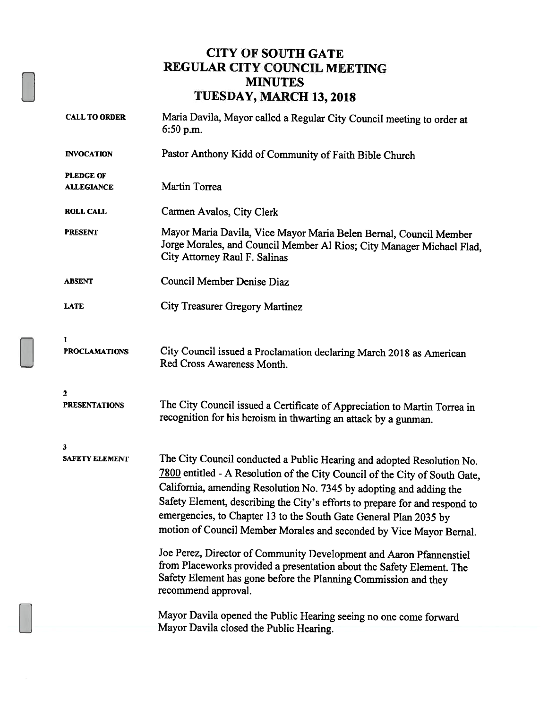### CITY OF SOUTH GATE REGULAR CITY COUNCIL MEETING **MINUTES** TUESDAY, MARCH 13,2018

| <b>CALL TO ORDER</b>                  | Maria Davila, Mayor called a Regular City Council meeting to order at<br>$6:50$ p.m.                                                                                                                                                                                                                                                                                                                                                                    |  |  |  |
|---------------------------------------|---------------------------------------------------------------------------------------------------------------------------------------------------------------------------------------------------------------------------------------------------------------------------------------------------------------------------------------------------------------------------------------------------------------------------------------------------------|--|--|--|
| <b>INVOCATION</b>                     | Pastor Anthony Kidd of Community of Faith Bible Church                                                                                                                                                                                                                                                                                                                                                                                                  |  |  |  |
| <b>PLEDGE OF</b><br><b>ALLEGIANCE</b> | Martin Torrea                                                                                                                                                                                                                                                                                                                                                                                                                                           |  |  |  |
| <b>ROLL CALL</b>                      | Carmen Avalos, City Clerk                                                                                                                                                                                                                                                                                                                                                                                                                               |  |  |  |
| <b>PRESENT</b>                        | Mayor Maria Davila, Vice Mayor Maria Belen Bernal, Council Member<br>Jorge Morales, and Council Member Al Rios; City Manager Michael Flad,<br>City Attorney Raul F. Salinas                                                                                                                                                                                                                                                                             |  |  |  |
| <b>ABSENT</b>                         | Council Member Denise Diaz                                                                                                                                                                                                                                                                                                                                                                                                                              |  |  |  |
| <b>LATE</b>                           | <b>City Treasurer Gregory Martinez</b>                                                                                                                                                                                                                                                                                                                                                                                                                  |  |  |  |
| $\mathbf{1}$<br><b>PROCLAMATIONS</b>  | City Council issued a Proclamation declaring March 2018 as American<br>Red Cross Awareness Month.                                                                                                                                                                                                                                                                                                                                                       |  |  |  |
| $\mathbf{2}$<br><b>PRESENTATIONS</b>  | The City Council issued a Certificate of Appreciation to Martin Torrea in<br>recognition for his heroism in thwarting an attack by a gunman.                                                                                                                                                                                                                                                                                                            |  |  |  |
| 3                                     |                                                                                                                                                                                                                                                                                                                                                                                                                                                         |  |  |  |
| <b>SAFETY ELEMENT</b>                 | The City Council conducted a Public Hearing and adopted Resolution No.<br>7800 entitled - A Resolution of the City Council of the City of South Gate,<br>California, amending Resolution No. 7345 by adopting and adding the<br>Safety Element, describing the City's efforts to prepare for and respond to<br>emergencies, to Chapter 13 to the South Gate General Plan 2035 by<br>motion of Council Member Morales and seconded by Vice Mayor Bernal. |  |  |  |
|                                       | Joe Perez, Director of Community Development and Aaron Pfannenstiel<br>from Placeworks provided a presentation about the Safety Element. The<br>Safety Element has gone before the Planning Commission and they<br>recommend approval.                                                                                                                                                                                                                  |  |  |  |
|                                       | Mayor Davila opened the Public Hearing seeing no one come forward<br>Mayor Davila closed the Public Hearing.                                                                                                                                                                                                                                                                                                                                            |  |  |  |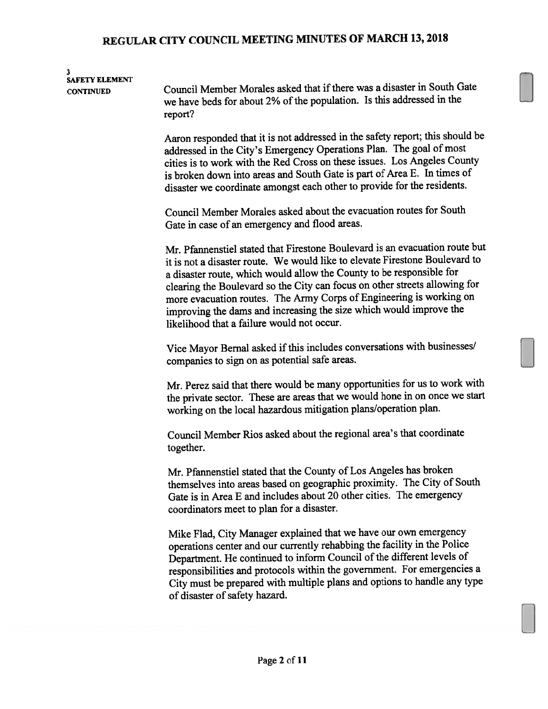#### 3 SAFETY ELEMENT

CONTINUED Council Member Morales asked that ifthere was <sup>a</sup> disaster in South Gate we have beds for about 2% of the population. Is this addressed in the report?

> Aaron responded that it is not addressed in the safety report; this should be addressed in the City's Emergency Operations Plan. The goal of most cities is to work with the Red Cross on these issues. Los Angeles County is broken down into areas and South Gate is par<sup>t</sup> of Area E. In times of disaster we coordinate amongs<sup>t</sup> each other to provide for the residents.

Council Member Morales asked about the evacuation routes for South Gate in case of an emergency and flood areas.

Mr. Pfannenstiel stated that Firestone Boulevard is an evacuation route but it is not <sup>a</sup> disaster route. We would like to elevate Firestone Boulevard to <sup>a</sup> disaster route, which would allow the County to be responsible for clearing the Boulevard so the City can focus on other streets allowing for more evacuation routes. The Army Corps of Engineering is working on improving the dams and increasing the size which would improve the likelihood that <sup>a</sup> failure would not occur.

Vice Mayor Bernal asked if this includes conversations with businesses/ companies to sign on as potential safe areas.

Mr. Perez said that there would be many opportunities for us to work with the private sector. These are areas that we would hone in on once we start working on the local hazardous mitigation <sup>p</sup>lans/operation <sup>p</sup>lan.

Council Member Rios asked about the regional area's that coordinate together.

Mr. Pfannenstiel stated that the County of Los Angeles has broken themselves into areas based on geographic proximity. The City of South Gate is in Area E and includes about 20 other cities. The emergency coordinators meet to plan for <sup>a</sup> disaster.

Mike Flad, City Manager explained that we have our own emergency operations center and our currently rehabbing the facility in the Police Department. He continued to inform Council of the different levels of responsibilities and protocols within the government. For emergencies <sup>a</sup> City must be prepare<sup>d</sup> with multiple <sup>p</sup>lans and options to handle any type of disaster of safety hazard.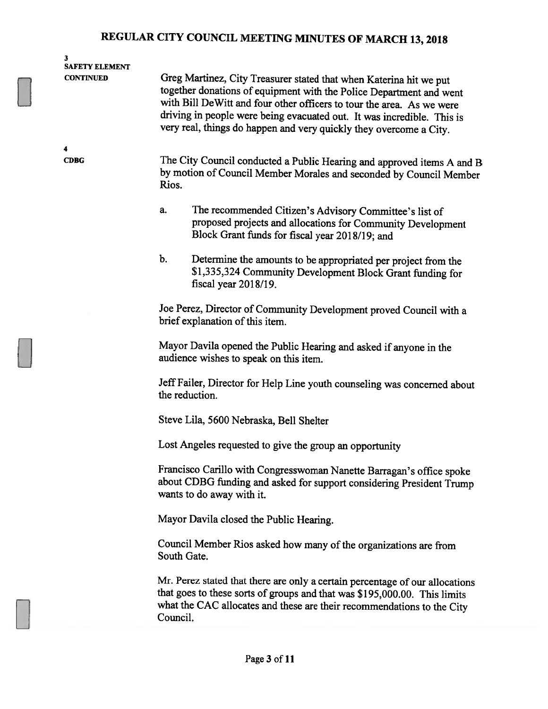| 3<br><b>SAFETY ELEMENT</b> |                                                                                                                                                                                                                                                                                                                                                                    |  |  |  |  |  |
|----------------------------|--------------------------------------------------------------------------------------------------------------------------------------------------------------------------------------------------------------------------------------------------------------------------------------------------------------------------------------------------------------------|--|--|--|--|--|
| <b>CONTINUED</b>           | Greg Martinez, City Treasurer stated that when Katerina hit we put<br>together donations of equipment with the Police Department and went<br>with Bill DeWitt and four other officers to tour the area. As we were<br>driving in people were being evacuated out. It was incredible. This is<br>very real, things do happen and very quickly they overcome a City. |  |  |  |  |  |
| 4                          |                                                                                                                                                                                                                                                                                                                                                                    |  |  |  |  |  |
| <b>CDBG</b>                | The City Council conducted a Public Hearing and approved items A and B<br>by motion of Council Member Morales and seconded by Council Member<br>Rios.                                                                                                                                                                                                              |  |  |  |  |  |
|                            | a.<br>The recommended Citizen's Advisory Committee's list of<br>proposed projects and allocations for Community Development<br>Block Grant funds for fiscal year 2018/19; and                                                                                                                                                                                      |  |  |  |  |  |
|                            | b.<br>Determine the amounts to be appropriated per project from the<br>\$1,335,324 Community Development Block Grant funding for<br>fiscal year 2018/19.                                                                                                                                                                                                           |  |  |  |  |  |
|                            | Joe Perez, Director of Community Development proved Council with a<br>brief explanation of this item.                                                                                                                                                                                                                                                              |  |  |  |  |  |
|                            | Mayor Davila opened the Public Hearing and asked if anyone in the<br>audience wishes to speak on this item.                                                                                                                                                                                                                                                        |  |  |  |  |  |
|                            | Jeff Failer, Director for Help Line youth counseling was concerned about<br>the reduction.                                                                                                                                                                                                                                                                         |  |  |  |  |  |
|                            | Steve Lila, 5600 Nebraska, Bell Shelter                                                                                                                                                                                                                                                                                                                            |  |  |  |  |  |
|                            | Lost Angeles requested to give the group an opportunity                                                                                                                                                                                                                                                                                                            |  |  |  |  |  |
|                            | Francisco Carillo with Congresswoman Nanette Barragan's office spoke<br>about CDBG funding and asked for support considering President Trump<br>wants to do away with it.                                                                                                                                                                                          |  |  |  |  |  |
|                            | Mayor Davila closed the Public Hearing.                                                                                                                                                                                                                                                                                                                            |  |  |  |  |  |
|                            | Council Member Rios asked how many of the organizations are from<br>South Gate.                                                                                                                                                                                                                                                                                    |  |  |  |  |  |
|                            | Mr. Perez stated that there are only a certain percentage of our allocations<br>that goes to these sorts of groups and that was \$195,000.00. This limits<br>what the CAC allocates and these are their recommendations to the City<br>Council.                                                                                                                    |  |  |  |  |  |
|                            |                                                                                                                                                                                                                                                                                                                                                                    |  |  |  |  |  |
|                            | Page 3 of 11                                                                                                                                                                                                                                                                                                                                                       |  |  |  |  |  |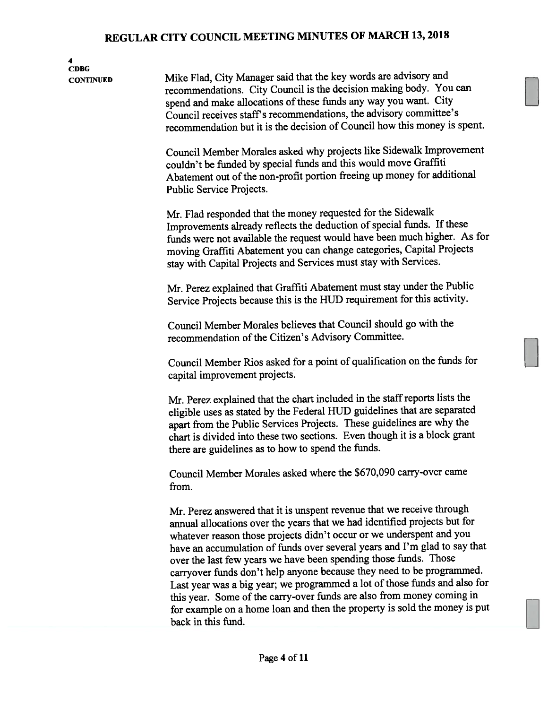4 CDBG CONTiNUED Mike Flad, City Manager said that the key words are advisory and recommendations. City Council is the decision making body. You can spend and make allocations of these funds any way you want. City Council receives staff's recommendations, the advisory committee's recommendation but it is the decision of Council how this money is spent. Council Member Morales asked why projects like Sidewalk Improvement couldn't be funded by special fimds and this would move Graffiti Abatement out of the non-profit portion freeing up money for additional Public Service Projects. Mr. Flad responded that the money requested for the Sidewalk Improvements already reflects the deduction of special funds. If these funds were not available the reques<sup>t</sup> would have been much higher. As for moving Graffiti Abatement you can change categories, Capital Projects stay with Capital Projects and Services must stay with Services. Mr. Perez explained that Graffiti Abatement must stay under the Public Service Projects because this is the HUD requirement for this activity. Council Member Morales believes that Council should go with the recommendation of the Citizen's Advisory Committee. Council Member Rios asked for <sup>a</sup> point of qualification on the funds for capital improvement projects. Mr. Perez explained that the chart included in the staff reports lists the eligible uses as stated by the Federal HUD guidelines that are separated apar<sup>t</sup> from the Public Services Projects. These guidelines are why the chart is divided into these two sections. Even though it is <sup>a</sup> block gran<sup>t</sup> there are guidelines as to how to spen<sup>d</sup> the funds. Council Member Morales asked where the \$670,090 carry-over came from. Mr. Perez answered that it is unspen<sup>t</sup> revenue that we receive through annual allocations over the years that we had identified projects but for whatever reason those projects didn't occur or we underspent and you have an accumulation of funds over several years and I'm glad to say that over the last few years we have been spending those funds. Those carryover funds don't help anyone because they need to be programmed. Last year was a big year; we programmed a lot of those funds and also for this year. Some of the carry-over funds are also from money coming in for example on <sup>a</sup> home loan and then the property is sold the money is pu<sup>t</sup> back in this fund.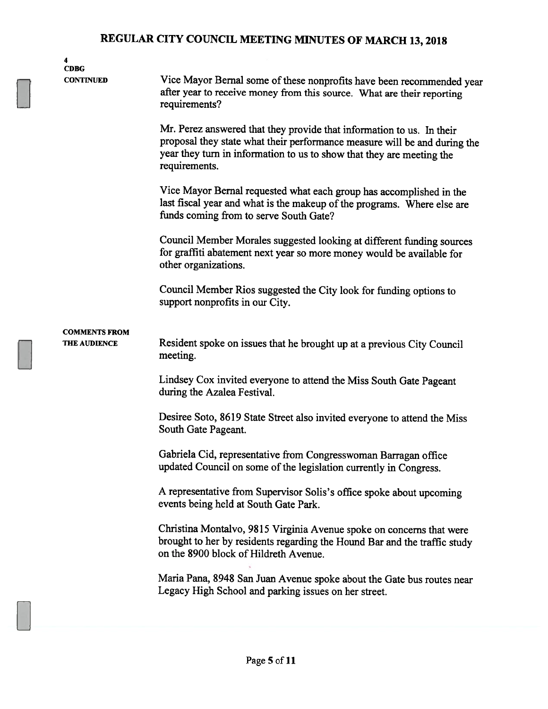| 4<br><b>CDBG</b>                            |                                                                                                                                                                                                                                              |  |  |  |  |  |
|---------------------------------------------|----------------------------------------------------------------------------------------------------------------------------------------------------------------------------------------------------------------------------------------------|--|--|--|--|--|
| <b>CONTINUED</b>                            | Vice Mayor Bernal some of these nonprofits have been recommended year<br>after year to receive money from this source. What are their reporting<br>requirements?                                                                             |  |  |  |  |  |
|                                             | Mr. Perez answered that they provide that information to us. In their<br>proposal they state what their performance measure will be and during the<br>year they turn in information to us to show that they are meeting the<br>requirements. |  |  |  |  |  |
|                                             | Vice Mayor Bernal requested what each group has accomplished in the<br>last fiscal year and what is the makeup of the programs. Where else are<br>funds coming from to serve South Gate?                                                     |  |  |  |  |  |
|                                             | Council Member Morales suggested looking at different funding sources<br>for graffiti abatement next year so more money would be available for<br>other organizations.                                                                       |  |  |  |  |  |
|                                             | Council Member Rios suggested the City look for funding options to<br>support nonprofits in our City.                                                                                                                                        |  |  |  |  |  |
| <b>COMMENTS FROM</b><br><b>THE AUDIENCE</b> | Resident spoke on issues that he brought up at a previous City Council<br>meeting.                                                                                                                                                           |  |  |  |  |  |
|                                             | Lindsey Cox invited everyone to attend the Miss South Gate Pageant<br>during the Azalea Festival.                                                                                                                                            |  |  |  |  |  |
|                                             | Desiree Soto, 8619 State Street also invited everyone to attend the Miss<br>South Gate Pageant.                                                                                                                                              |  |  |  |  |  |
|                                             | Gabriela Cid, representative from Congresswoman Barragan office<br>updated Council on some of the legislation currently in Congress.                                                                                                         |  |  |  |  |  |
|                                             | A representative from Supervisor Solis's office spoke about upcoming<br>events being held at South Gate Park.                                                                                                                                |  |  |  |  |  |
|                                             | Christina Montalvo, 9815 Virginia Avenue spoke on concerns that were<br>brought to her by residents regarding the Hound Bar and the traffic study<br>on the 8900 block of Hildreth Avenue.                                                   |  |  |  |  |  |
|                                             | Maria Pana, 8948 San Juan Avenue spoke about the Gate bus routes near<br>Legacy High School and parking issues on her street.                                                                                                                |  |  |  |  |  |
|                                             |                                                                                                                                                                                                                                              |  |  |  |  |  |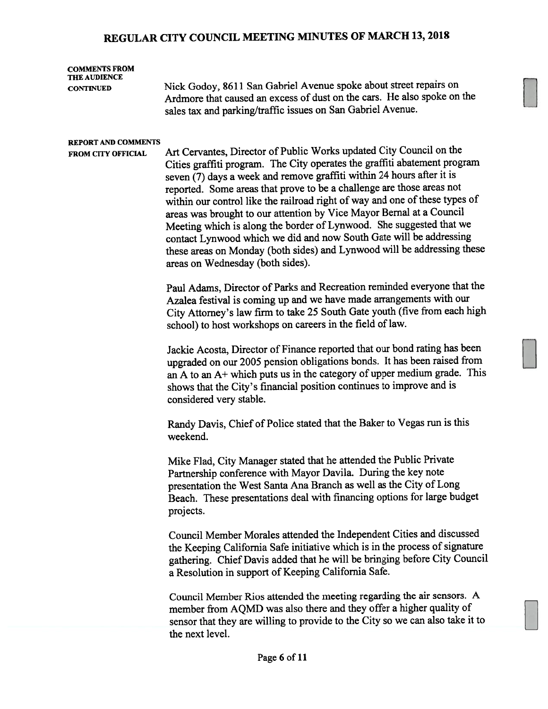#### COMMENTS FROM THE AUDIENCE

CONTINUED Nick Godoy, <sup>8611</sup> San Gabriel Avenue spoke about street repairs on Ardmore that caused an excess of dust on the cars. He also spoke on the sales tax and parking/traffic issues on San Gabriel Avenue.

#### REPORT AND COMMENTS

FROM CITY OFFICIAL Art Cervantes, Director of Public Works updated City Council on the Cities graffiti program. The City operates the graffiti abatement program seven (7) days <sup>a</sup> week and remove graffiti within <sup>24</sup> hours after it is reported. Some areas that prove to be <sup>a</sup> challenge are those areas not within our control like the railroad right of way and one of these types of areas was brought to our attention by Vice Mayor Bernal at <sup>a</sup> Council Meeting which is along the border of Lynwood. She suggested that we contact Lynwood which we did and now South Gate will be addressing these areas on Monday (both sides) and Lynwood will be addressing these areas on Wednesday (both sides).

> Paul Adams, Director of Parks and Recreation reminded everyone that the Azalea festival is coming up and we have made arrangements with our City Attorney's law firm to take <sup>25</sup> South Gate youth (five from each high school) to host workshops on careers in the field of law.

> Jackie Acosta, Director of Finance reported that our bond rating has been upgraded on our <sup>2005</sup> pension obligations bonds. It has been raised from an <sup>A</sup> to an A+ which puts us in the category of upper medium grade. This shows that the City's financial position continues to improve and is considered very stable.

Randy Davis, Chief of Police stated that the Baker to Vegas run is this weekend.

Mike Flad, City Manager stated that he attended the Public Private Partnership conference with Mayor Davila. During the key note presentation the West Santa Ana Branch as well as the City of Long Beach. These presentations deal with financing options for large budget projects.

Council Member Morales attended the Independent Cities and discussed the Keeping California Safe initiative which is in the process of signature gathering. Chief Davis added that he will be bringing before City Council <sup>a</sup> Resolution in suppor<sup>t</sup> of Keeping California Safe.

Council Member Rios attended the meeting regarding the air sensors. A member from AQMD was also there and they offer <sup>a</sup> higher quality of sensor that they are willing to provide to the City so we can also take it to the next level.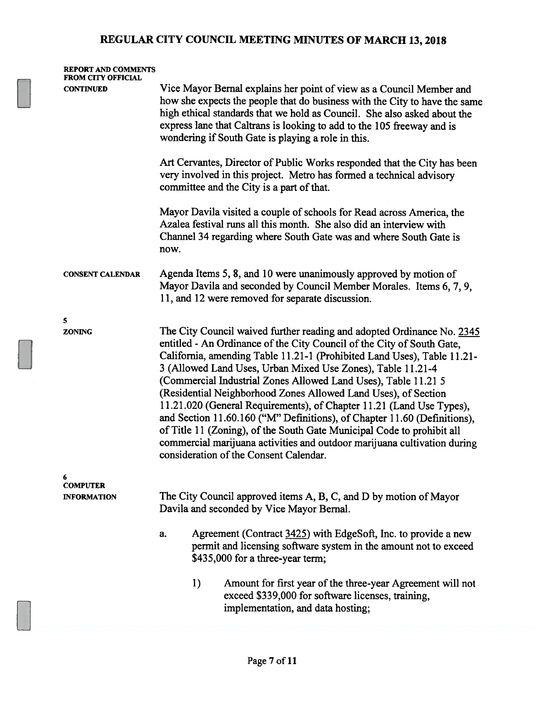| Vice Mayor Bernal explains her point of view as a Council Member and<br><b>CONTINUED</b><br>how she expects the people that do business with the City to have the same<br>high ethical standards that we hold as Council. She also asked about the<br>express lane that Caltrans is looking to add to the 105 freeway and is<br>wondering if South Gate is playing a role in this.                             |                                                                                                                                                                                                                                                                                                                                                                                   |  |  |
|----------------------------------------------------------------------------------------------------------------------------------------------------------------------------------------------------------------------------------------------------------------------------------------------------------------------------------------------------------------------------------------------------------------|-----------------------------------------------------------------------------------------------------------------------------------------------------------------------------------------------------------------------------------------------------------------------------------------------------------------------------------------------------------------------------------|--|--|
|                                                                                                                                                                                                                                                                                                                                                                                                                |                                                                                                                                                                                                                                                                                                                                                                                   |  |  |
| Art Cervantes, Director of Public Works responded that the City has been<br>very involved in this project. Metro has formed a technical advisory<br>committee and the City is a part of that.                                                                                                                                                                                                                  |                                                                                                                                                                                                                                                                                                                                                                                   |  |  |
| Mayor Davila visited a couple of schools for Read across America, the<br>Azalea festival runs all this month. She also did an interview with<br>Channel 34 regarding where South Gate was and where South Gate is<br>now.                                                                                                                                                                                      |                                                                                                                                                                                                                                                                                                                                                                                   |  |  |
| Agenda Items 5, 8, and 10 were unanimously approved by motion of<br><b>CONSENT CALENDAR</b><br>Mayor Davila and seconded by Council Member Morales. Items 6, 7, 9,<br>11, and 12 were removed for separate discussion.                                                                                                                                                                                         |                                                                                                                                                                                                                                                                                                                                                                                   |  |  |
| 5                                                                                                                                                                                                                                                                                                                                                                                                              |                                                                                                                                                                                                                                                                                                                                                                                   |  |  |
| <b>ZONING</b><br>entitled - An Ordinance of the City Council of the City of South Gate,<br>3 (Allowed Land Uses, Urban Mixed Use Zones), Table 11.21-4<br>(Commercial Industrial Zones Allowed Land Uses), Table 11.21 5<br>(Residential Neighborhood Zones Allowed Land Uses), of Section<br>of Title 11 (Zoning), of the South Gate Municipal Code to prohibit all<br>consideration of the Consent Calendar. | The City Council waived further reading and adopted Ordinance No. 2345<br>California, amending Table 11.21-1 (Prohibited Land Uses), Table 11.21-<br>11.21.020 (General Requirements), of Chapter 11.21 (Land Use Types),<br>and Section 11.60.160 ("M" Definitions), of Chapter 11.60 (Definitions),<br>commercial marijuana activities and outdoor marijuana cultivation during |  |  |
| 6<br><b>COMPUTER</b>                                                                                                                                                                                                                                                                                                                                                                                           |                                                                                                                                                                                                                                                                                                                                                                                   |  |  |
| The City Council approved items A, B, C, and D by motion of Mayor<br><b>INFORMATION</b><br>Davila and seconded by Vice Mayor Bernal.                                                                                                                                                                                                                                                                           |                                                                                                                                                                                                                                                                                                                                                                                   |  |  |
| Agreement (Contract 3425) with EdgeSoft, Inc. to provide a new<br>a.<br>permit and licensing software system in the amount not to exceed<br>\$435,000 for a three-year term;                                                                                                                                                                                                                                   |                                                                                                                                                                                                                                                                                                                                                                                   |  |  |
| 1)<br>Amount for first year of the three-year Agreement will not<br>exceed \$339,000 for software licenses, training,<br>implementation, and data hosting;                                                                                                                                                                                                                                                     |                                                                                                                                                                                                                                                                                                                                                                                   |  |  |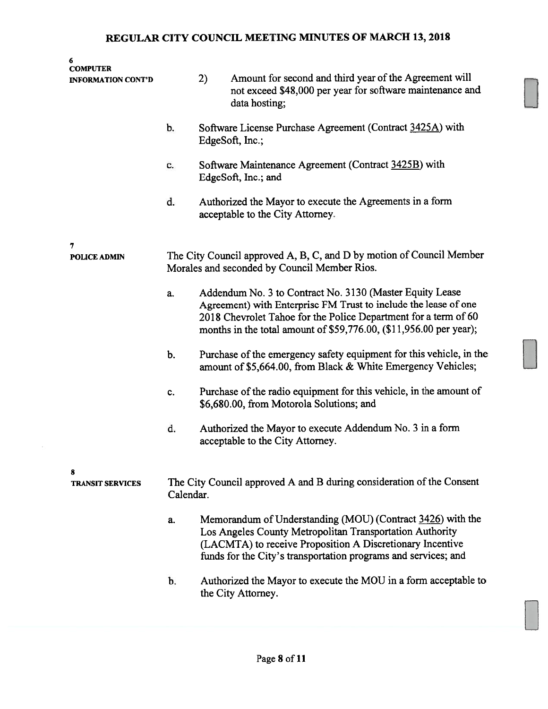| 6<br><b>COMPUTER</b><br><b>INFORMATION CONT'D</b> |                                                                                                                      | 2) | Amount for second and third year of the Agreement will<br>not exceed \$48,000 per year for software maintenance and<br>data hosting;                                                                                                                                 |  |
|---------------------------------------------------|----------------------------------------------------------------------------------------------------------------------|----|----------------------------------------------------------------------------------------------------------------------------------------------------------------------------------------------------------------------------------------------------------------------|--|
|                                                   | b.                                                                                                                   |    | Software License Purchase Agreement (Contract 3425A) with<br>EdgeSoft, Inc.;                                                                                                                                                                                         |  |
|                                                   | c.                                                                                                                   |    | Software Maintenance Agreement (Contract 3425B) with<br>EdgeSoft, Inc.; and                                                                                                                                                                                          |  |
|                                                   | d.                                                                                                                   |    | Authorized the Mayor to execute the Agreements in a form<br>acceptable to the City Attorney.                                                                                                                                                                         |  |
| 7<br><b>POLICE ADMIN</b>                          | The City Council approved A, B, C, and D by motion of Council Member<br>Morales and seconded by Council Member Rios. |    |                                                                                                                                                                                                                                                                      |  |
|                                                   | a.                                                                                                                   |    | Addendum No. 3 to Contract No. 3130 (Master Equity Lease<br>Agreement) with Enterprise FM Trust to include the lease of one<br>2018 Chevrolet Tahoe for the Police Department for a term of 60<br>months in the total amount of \$59,776.00, (\$11,956.00 per year); |  |
|                                                   | b.                                                                                                                   |    | Purchase of the emergency safety equipment for this vehicle, in the<br>amount of \$5,664.00, from Black & White Emergency Vehicles;                                                                                                                                  |  |
|                                                   | c.                                                                                                                   |    | Purchase of the radio equipment for this vehicle, in the amount of<br>\$6,680.00, from Motorola Solutions; and                                                                                                                                                       |  |
|                                                   | d.                                                                                                                   |    | Authorized the Mayor to execute Addendum No. 3 in a form<br>acceptable to the City Attorney.                                                                                                                                                                         |  |
| 8<br><b>TRANSIT SERVICES</b>                      | The City Council approved A and B during consideration of the Consent<br>Calendar.                                   |    |                                                                                                                                                                                                                                                                      |  |
|                                                   | a.                                                                                                                   |    | Memorandum of Understanding (MOU) (Contract 3426) with the<br>Los Angeles County Metropolitan Transportation Authority<br>(LACMTA) to receive Proposition A Discretionary Incentive<br>funds for the City's transportation programs and services; and                |  |
|                                                   | b.                                                                                                                   |    | Authorized the Mayor to execute the MOU in a form acceptable to<br>the City Attorney.                                                                                                                                                                                |  |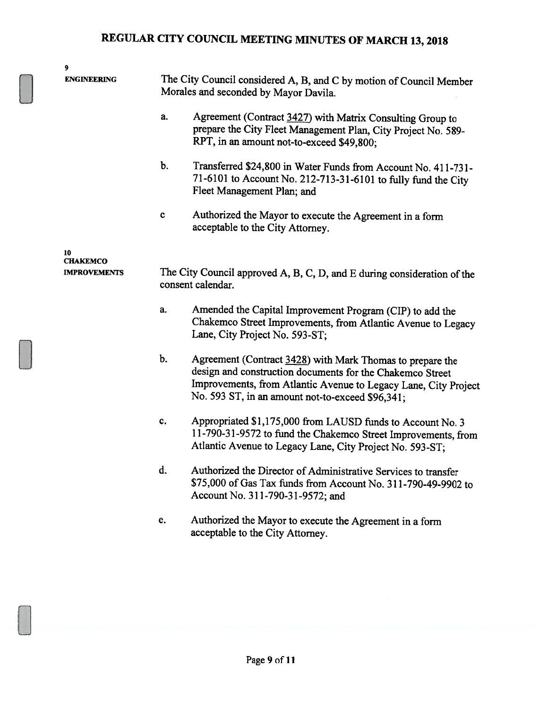| 9                               |             |                                                                                                                                                                                                                                               |  |
|---------------------------------|-------------|-----------------------------------------------------------------------------------------------------------------------------------------------------------------------------------------------------------------------------------------------|--|
| <b>ENGINEERING</b>              |             | The City Council considered A, B, and C by motion of Council Member<br>Morales and seconded by Mayor Davila.                                                                                                                                  |  |
|                                 | a.          | Agreement (Contract 3427) with Matrix Consulting Group to<br>prepare the City Fleet Management Plan, City Project No. 589-<br>RPT, in an amount not-to-exceed \$49,800;                                                                       |  |
|                                 | $b$ .       | Transferred \$24,800 in Water Funds from Account No. 411-731-<br>71-6101 to Account No. 212-713-31-6101 to fully fund the City<br>Fleet Management Plan; and                                                                                  |  |
|                                 | $\mathbf c$ | Authorized the Mayor to execute the Agreement in a form<br>acceptable to the City Attorney.                                                                                                                                                   |  |
| 10                              |             |                                                                                                                                                                                                                                               |  |
| CHAKEMCO<br><b>IMPROVEMENTS</b> |             | The City Council approved A, B, C, D, and E during consideration of the<br>consent calendar.                                                                                                                                                  |  |
|                                 | a.          | Amended the Capital Improvement Program (CIP) to add the<br>Chakemco Street Improvements, from Atlantic Avenue to Legacy<br>Lane, City Project No. 593-ST;                                                                                    |  |
|                                 | b.          | Agreement (Contract 3428) with Mark Thomas to prepare the<br>design and construction documents for the Chakemco Street<br>Improvements, from Atlantic Avenue to Legacy Lane, City Project<br>No. 593 ST, in an amount not-to-exceed \$96,341; |  |
|                                 | c.          | Appropriated \$1,175,000 from LAUSD funds to Account No. 3<br>11-790-31-9572 to fund the Chakemco Street Improvements, from<br>Atlantic Avenue to Legacy Lane, City Project No. 593-ST;                                                       |  |
|                                 | d.          | Authorized the Director of Administrative Services to transfer<br>\$75,000 of Gas Tax funds from Account No. 311-790-49-9902 to<br>Account No. 311-790-31-9572; and                                                                           |  |
|                                 | e.          | Authorized the Mayor to execute the Agreement in a form<br>acceptable to the City Attorney.                                                                                                                                                   |  |
|                                 |             |                                                                                                                                                                                                                                               |  |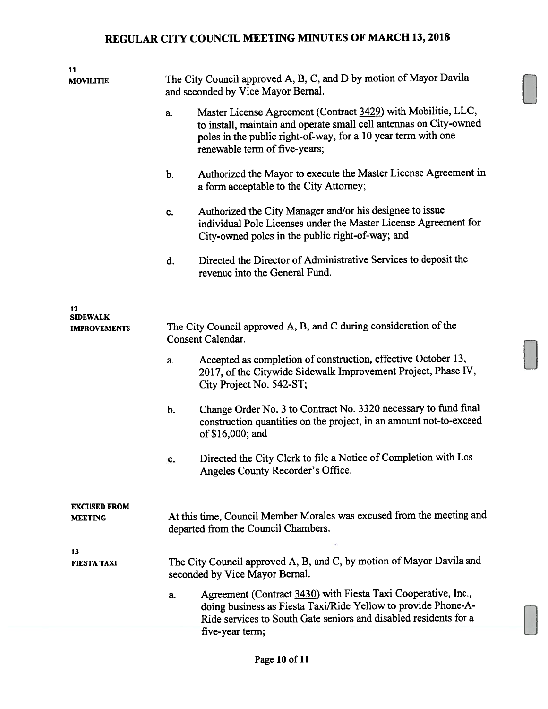| 11                                    |                                                                                                              |                                                                                                                                                                                                                                       |  |
|---------------------------------------|--------------------------------------------------------------------------------------------------------------|---------------------------------------------------------------------------------------------------------------------------------------------------------------------------------------------------------------------------------------|--|
| <b>MOVILITIE</b>                      | The City Council approved A, B, C, and D by motion of Mayor Davila<br>and seconded by Vice Mayor Bernal.     |                                                                                                                                                                                                                                       |  |
|                                       | a.                                                                                                           | Master License Agreement (Contract 3429) with Mobilitie, LLC,<br>to install, maintain and operate small cell antennas on City-owned<br>poles in the public right-of-way, for a 10 year term with one<br>renewable term of five-years; |  |
|                                       | $b$ .                                                                                                        | Authorized the Mayor to execute the Master License Agreement in<br>a form acceptable to the City Attorney;                                                                                                                            |  |
|                                       | c.                                                                                                           | Authorized the City Manager and/or his designee to issue<br>individual Pole Licenses under the Master License Agreement for<br>City-owned poles in the public right-of-way; and                                                       |  |
|                                       | d.                                                                                                           | Directed the Director of Administrative Services to deposit the<br>revenue into the General Fund.                                                                                                                                     |  |
| 12<br><b>SIDEWALK</b>                 |                                                                                                              |                                                                                                                                                                                                                                       |  |
| <b>IMPROVEMENTS</b>                   |                                                                                                              | The City Council approved A, B, and C during consideration of the<br>Consent Calendar.                                                                                                                                                |  |
|                                       | a.                                                                                                           | Accepted as completion of construction, effective October 13,<br>2017, of the Citywide Sidewalk Improvement Project, Phase IV,<br>City Project No. 542-ST;                                                                            |  |
|                                       | $b$ .                                                                                                        | Change Order No. 3 to Contract No. 3320 necessary to fund final<br>construction quantities on the project, in an amount not-to-exceed<br>of \$16,000; and                                                                             |  |
|                                       | c.                                                                                                           | Directed the City Clerk to file a Notice of Completion with Los<br>Angeles County Recorder's Office.                                                                                                                                  |  |
| <b>EXCUSED FROM</b><br><b>MEETING</b> | At this time, Council Member Morales was excused from the meeting and<br>departed from the Council Chambers. |                                                                                                                                                                                                                                       |  |
| 13<br><b>FIESTA TAXI</b>              | The City Council approved A, B, and C, by motion of Mayor Davila and<br>seconded by Vice Mayor Bernal.       |                                                                                                                                                                                                                                       |  |
|                                       | a.                                                                                                           | Agreement (Contract 3430) with Fiesta Taxi Cooperative, Inc.,<br>doing business as Fiesta Taxi/Ride Yellow to provide Phone-A-<br>Ride services to South Gate seniors and disabled residents for a<br>five-year term;                 |  |
|                                       |                                                                                                              |                                                                                                                                                                                                                                       |  |